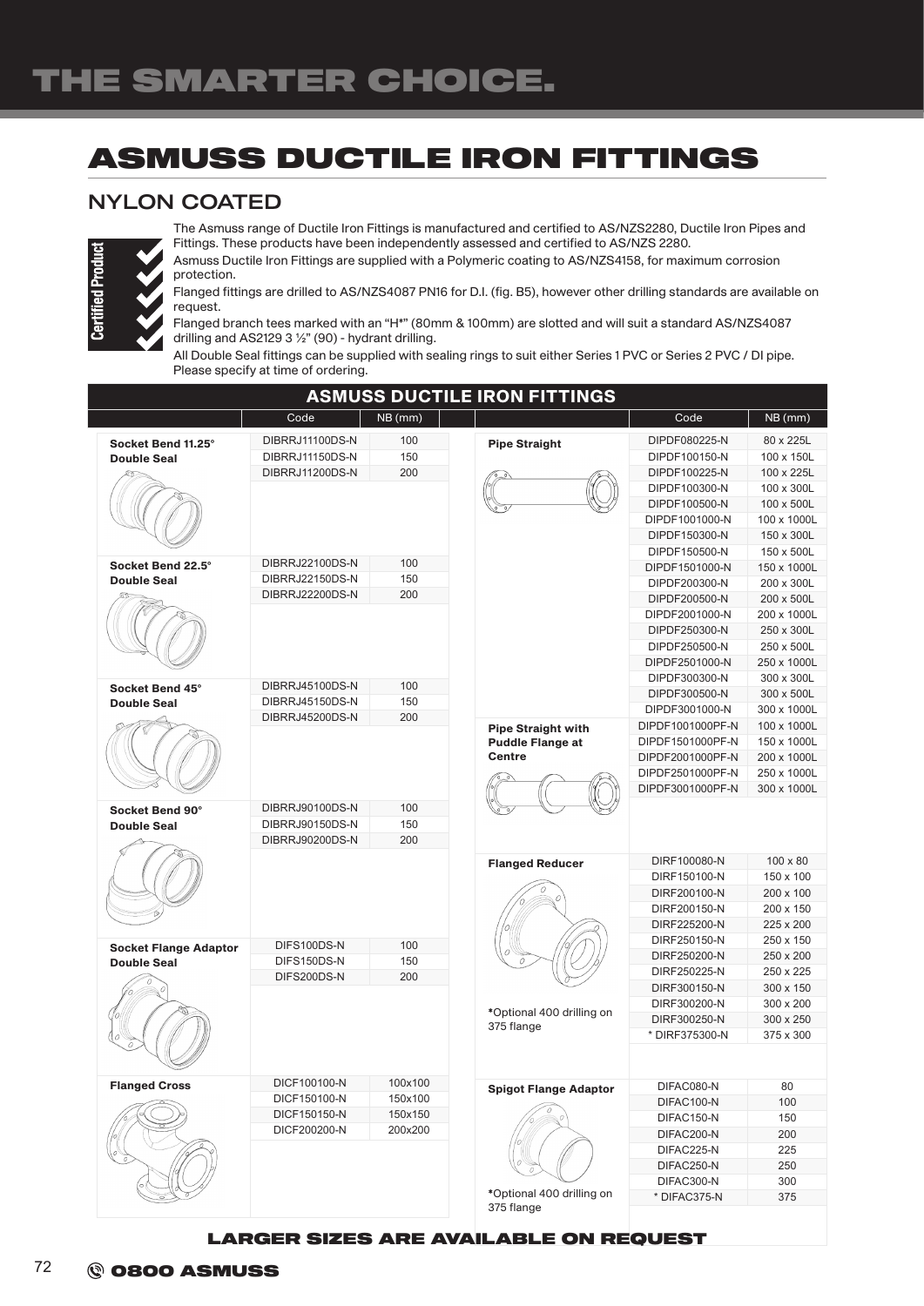## ASMUSS DUCTILE IRON FITTINGS

## NYLON COATED



The Asmuss range of Ductile Iron Fittings is manufactured and certified to AS/NZS2280, Ductile Iron Pipes and Fittings. These products have been independently assessed and certified to AS/NZS 2280.

Asmuss Ductile Iron Fittings are supplied with a Polymeric coating to AS/NZS4158, for maximum corrosion protection.

Flanged fittings are drilled to AS/NZS4087 PN16 for D.I. (fig. B5), however other drilling standards are available on request.

Flanged branch tees marked with an "H\*" (80mm & 100mm) are slotted and will suit a standard AS/NZS4087 drilling and AS2129 3 ½" (90) - hydrant drilling.

All Double Seal fittings can be supplied with sealing rings to suit either Series 1 PVC or Series 2 PVC / DI pipe. Please specify at time of ordering.

| <b>ASMUSS DUCTILE IRON FITTINGS</b>   |                                    |                    |                                          |                                      |                            |  |  |  |
|---------------------------------------|------------------------------------|--------------------|------------------------------------------|--------------------------------------|----------------------------|--|--|--|
|                                       | Code                               | NB (mm)            |                                          | Code                                 | NB (mm)                    |  |  |  |
| Socket Bend 11.25°                    | DIBRRJ11100DS-N                    | 100                | <b>Pipe Straight</b>                     | DIPDF080225-N                        | 80 x 225L                  |  |  |  |
| <b>Double Seal</b>                    | DIBRRJ11150DS-N                    | 150                |                                          | DIPDF100150-N                        | 100 x 150L                 |  |  |  |
|                                       | DIBRRJ11200DS-N                    | 200                |                                          | DIPDF100225-N                        | 100 x 225L                 |  |  |  |
|                                       |                                    |                    |                                          | DIPDF100300-N                        | 100 x 300L                 |  |  |  |
|                                       |                                    |                    |                                          | DIPDF100500-N                        | 100 x 500L                 |  |  |  |
|                                       |                                    |                    |                                          | DIPDF1001000-N                       | 100 x 1000L                |  |  |  |
|                                       |                                    |                    |                                          | DIPDF150300-N                        | 150 x 300L                 |  |  |  |
|                                       |                                    |                    |                                          | DIPDF150500-N                        | 150 x 500L                 |  |  |  |
| Socket Bend 22.5°                     | DIBRRJ22100DS-N<br>DIBRRJ22150DS-N | 100<br>150         |                                          | DIPDF1501000-N                       | 150 x 1000L                |  |  |  |
| <b>Double Seal</b>                    | DIBRRJ22200DS-N                    | 200                |                                          | DIPDF200300-N                        | 200 x 300L                 |  |  |  |
|                                       |                                    |                    |                                          | DIPDF200500-N                        | 200 x 500L                 |  |  |  |
|                                       |                                    |                    |                                          | DIPDF2001000-N                       | 200 x 1000L                |  |  |  |
|                                       |                                    |                    |                                          | DIPDF250300-N                        | 250 x 300L                 |  |  |  |
|                                       |                                    |                    |                                          | DIPDF250500-N                        | 250 x 500L                 |  |  |  |
|                                       |                                    |                    |                                          | DIPDF2501000-N                       | 250 x 1000L                |  |  |  |
| Socket Bend 45°<br><b>Double Seal</b> | DIBRRJ45100DS-N                    | 100                |                                          | DIPDF300300-N                        | 300 x 300L                 |  |  |  |
|                                       | DIBRRJ45150DS-N                    | 150                |                                          | DIPDF300500-N                        | 300 x 500L                 |  |  |  |
|                                       | DIBRRJ45200DS-N                    | 200                |                                          | DIPDF3001000-N                       | 300 x 1000L                |  |  |  |
|                                       |                                    |                    | <b>Pipe Straight with</b>                | DIPDF1001000PF-N                     | 100 x 1000L                |  |  |  |
|                                       |                                    |                    | <b>Puddle Flange at</b><br><b>Centre</b> | DIPDF1501000PF-N<br>DIPDF2001000PF-N | 150 x 1000L<br>200 x 1000L |  |  |  |
|                                       |                                    |                    |                                          | DIPDF2501000PF-N                     | 250 x 1000L                |  |  |  |
|                                       |                                    |                    |                                          | DIPDF3001000PF-N                     | 300 x 1000L                |  |  |  |
|                                       |                                    |                    |                                          |                                      |                            |  |  |  |
| Socket Bend 90°                       | DIBRRJ90100DS-N                    | 100                |                                          |                                      |                            |  |  |  |
| <b>Double Seal</b>                    | DIBRRJ90150DS-N                    | 150                |                                          |                                      |                            |  |  |  |
|                                       | DIBRRJ90200DS-N                    | 200                |                                          |                                      |                            |  |  |  |
|                                       |                                    |                    | <b>Flanged Reducer</b>                   | DIRF100080-N                         | $100 \times 80$            |  |  |  |
|                                       |                                    |                    |                                          | DIRF150100-N                         | 150 x 100                  |  |  |  |
|                                       |                                    |                    |                                          | DIRF200100-N                         | 200 x 100                  |  |  |  |
|                                       |                                    |                    |                                          | DIRF200150-N                         | 200 x 150                  |  |  |  |
|                                       |                                    |                    |                                          | DIRF225200-N                         | 225 x 200                  |  |  |  |
| <b>Socket Flange Adaptor</b>          | DIFS100DS-N                        | 100                |                                          | DIRF250150-N                         | 250 x 150                  |  |  |  |
| <b>Double Seal</b>                    | DIFS150DS-N                        | 150                |                                          | DIRF250200-N                         | 250 x 200                  |  |  |  |
|                                       | DIFS200DS-N                        | 200                |                                          | DIRF250225-N                         | 250 x 225                  |  |  |  |
|                                       |                                    |                    |                                          | DIRF300150-N                         | 300 x 150                  |  |  |  |
|                                       |                                    |                    | *Optional 400 drilling on                | DIRF300200-N                         | 300 x 200                  |  |  |  |
|                                       |                                    |                    | 375 flange                               | DIRF300250-N                         | 300 x 250                  |  |  |  |
|                                       |                                    |                    |                                          | * DIRF375300-N                       | 375 x 300                  |  |  |  |
|                                       |                                    |                    |                                          |                                      |                            |  |  |  |
|                                       |                                    |                    |                                          |                                      |                            |  |  |  |
| <b>Flanged Cross</b>                  | DICF100100-N<br>DICF150100-N       | 100x100<br>150x100 | <b>Spigot Flange Adaptor</b>             | DIFAC080-N                           | 80                         |  |  |  |
|                                       | DICF150150-N                       | 150x150            |                                          | DIFAC100-N                           | 100                        |  |  |  |
|                                       | DICF200200-N                       | 200x200            |                                          | DIFAC150-N                           | 150                        |  |  |  |
|                                       |                                    |                    |                                          | DIFAC200-N                           | 200                        |  |  |  |
|                                       |                                    |                    |                                          | DIFAC225-N                           | 225                        |  |  |  |
|                                       |                                    |                    |                                          | DIFAC250-N                           | 250                        |  |  |  |
|                                       |                                    |                    | *Optional 400 drilling on                | DIFAC300-N                           | 300                        |  |  |  |
|                                       |                                    |                    | 375 flange                               | * DIFAC375-N                         | 375                        |  |  |  |
|                                       |                                    |                    |                                          |                                      |                            |  |  |  |

LARGER SIZES ARE AVAILABLE ON REQUEST